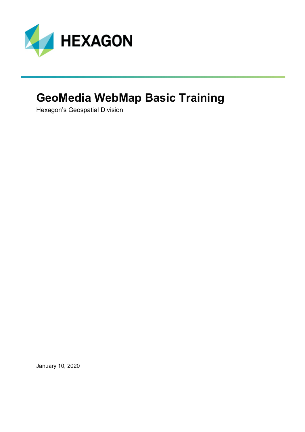

## **GeoMedia WebMap Basic Training**

Hexagon's Geospatial Division

January 10, 2020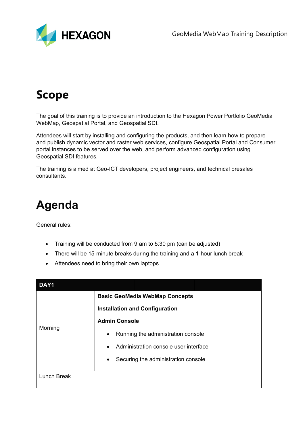

# **Scope**

The goal of this training is to provide an introduction to the Hexagon Power Portfolio GeoMedia WebMap, Geospatial Portal, and Geospatial SDI.

Attendees will start by installing and configuring the products, and then learn how to prepare and publish dynamic vector and raster web services, configure Geospatial Portal and Consumer portal instances to be served over the web, and perform advanced configuration using Geospatial SDI features.

The training is aimed at Geo-ICT developers, project engineers, and technical presales consultants.

## **Agenda**

General rules:

- Training will be conducted from 9 am to 5:30 pm (can be adjusted)
- There will be 15-minute breaks during the training and a 1-hour lunch break
- Attendees need to bring their own laptops

| DAY1               |                                                    |  |  |
|--------------------|----------------------------------------------------|--|--|
| Morning            | <b>Basic GeoMedia WebMap Concepts</b>              |  |  |
|                    | <b>Installation and Configuration</b>              |  |  |
|                    | <b>Admin Console</b>                               |  |  |
|                    | Running the administration console<br>$\bullet$    |  |  |
|                    | Administration console user interface<br>$\bullet$ |  |  |
|                    | Securing the administration console<br>$\bullet$   |  |  |
| <b>Lunch Break</b> |                                                    |  |  |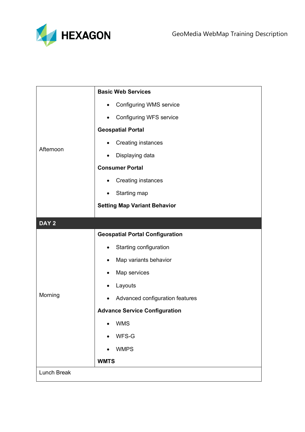

|                    | <b>Basic Web Services</b>                   |  |  |
|--------------------|---------------------------------------------|--|--|
| Afternoon          | <b>Configuring WMS service</b><br>$\bullet$ |  |  |
|                    | <b>Configuring WFS service</b><br>$\bullet$ |  |  |
|                    | <b>Geospatial Portal</b>                    |  |  |
|                    | <b>Creating instances</b>                   |  |  |
|                    | Displaying data<br>$\bullet$                |  |  |
|                    | <b>Consumer Portal</b>                      |  |  |
|                    | <b>Creating instances</b><br>$\bullet$      |  |  |
|                    | Starting map<br>$\bullet$                   |  |  |
|                    | <b>Setting Map Variant Behavior</b>         |  |  |
| DAY <sub>2</sub>   |                                             |  |  |
| Morning            | <b>Geospatial Portal Configuration</b>      |  |  |
|                    | Starting configuration<br>$\bullet$         |  |  |
|                    | Map variants behavior<br>$\bullet$          |  |  |
|                    | Map services<br>$\bullet$                   |  |  |
|                    | Layouts<br>$\bullet$                        |  |  |
|                    | Advanced configuration features             |  |  |
|                    | <b>Advance Service Configuration</b>        |  |  |
|                    | <b>WMS</b>                                  |  |  |
|                    | WFS-G                                       |  |  |
|                    | <b>WMPS</b>                                 |  |  |
|                    | <b>WMTS</b>                                 |  |  |
| <b>Lunch Break</b> |                                             |  |  |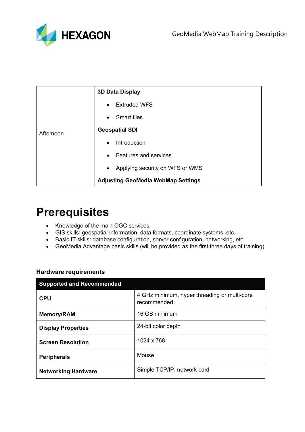

|           | <b>3D Data Display</b>                       |  |  |
|-----------|----------------------------------------------|--|--|
| Afternoon | <b>Extruded WFS</b><br>$\bullet$             |  |  |
|           | <b>Smart tiles</b><br>$\bullet$              |  |  |
|           | <b>Geospatial SDI</b>                        |  |  |
|           | Introduction<br>$\bullet$                    |  |  |
|           | Features and services<br>$\bullet$           |  |  |
|           | Applying security on WFS or WMS<br>$\bullet$ |  |  |
|           | <b>Adjusting GeoMedia WebMap Settings</b>    |  |  |

### **Prerequisites**

- Knowledge of the main OGC services
- GIS skills: geospatial information, data formats, coordinate systems, etc.
- Basic IT skills: database configuration, server configuration, networking, etc.
- GeoMedia Advantage basic skills (will be provided as the first three days of training)

| <b>Supported and Recommended</b> |                                                             |  |  |  |
|----------------------------------|-------------------------------------------------------------|--|--|--|
| <b>CPU</b>                       | 4 GHz minimum, hyper threading or multi-core<br>recommended |  |  |  |
| <b>Memory/RAM</b>                | 16 GB minimum                                               |  |  |  |
| <b>Display Properties</b>        | 24-bit color depth                                          |  |  |  |
| <b>Screen Resolution</b>         | 1024 x 768                                                  |  |  |  |
| <b>Peripherals</b>               | Mouse                                                       |  |  |  |
| <b>Networking Hardware</b>       | Simple TCP/IP, network card                                 |  |  |  |

#### **Hardware requirements**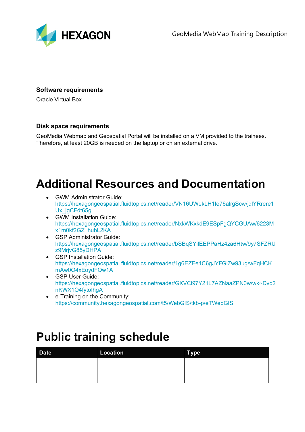

#### **Software requirements**

Oracle Virtual Box

#### **Disk space requirements**

GeoMedia Webmap and Geospatial Portal will be installed on a VM provided to the trainees. Therefore, at least 20GB is needed on the laptop or on an external drive.

## **Additional Resources and Documentation**

- GWM Administrator Guide: [https://hexagongeospatial.fluidtopics.net/reader/VN16UWekLH1Ie76alrgScw/jqlYRrere1](https://hexagongeospatial.fluidtopics.net/reader/VN16UWekLH1Ie76alrgScw/jqlYRrere1Ux_jgCFdt65g) [Ux\\_jgCFdt65g](https://hexagongeospatial.fluidtopics.net/reader/VN16UWekLH1Ie76alrgScw/jqlYRrere1Ux_jgCFdt65g)
- GWM Installation Guide: [https://hexagongeospatial.fluidtopics.net/reader/NxkWKxkdE9ESpFgQYCGUAw/6223M](https://hexagongeospatial.fluidtopics.net/reader/NxkWKxkdE9ESpFgQYCGUAw/6223Mx1m0kf2GZ_hubL2KA) [x1m0kf2GZ\\_hubL2KA](https://hexagongeospatial.fluidtopics.net/reader/NxkWKxkdE9ESpFgQYCGUAw/6223Mx1m0kf2GZ_hubL2KA)
- GSP Administrator Guide: [https://hexagongeospatial.fluidtopics.net/reader/bSBqSYifEEPPaHz4za6Htw/9y7SFZRU](https://hexagongeospatial.fluidtopics.net/reader/bSBqSYifEEPPaHz4za6Htw/9y7SFZRUz9MrjvG85yDHPA) [z9MrjvG85yDHPA](https://hexagongeospatial.fluidtopics.net/reader/bSBqSYifEEPPaHz4za6Htw/9y7SFZRUz9MrjvG85yDHPA)
- GSP Installation Guide: [https://hexagongeospatial.fluidtopics.net/reader/1g6EZEe1C6gJYFGlZw93ug/wFqHCK](https://hexagongeospatial.fluidtopics.net/reader/1g6EZEe1C6gJYFGlZw93ug/wFqHCKmAw0O4xEoydFOw1A) [mAw0O4xEoydFOw1A](https://hexagongeospatial.fluidtopics.net/reader/1g6EZEe1C6gJYFGlZw93ug/wFqHCKmAw0O4xEoydFOw1A)
- GSP User Guide: [https://hexagongeospatial.fluidtopics.net/reader/GXVCi97Y21L7AZNaaZPN0w/wk~Dvd2](https://hexagongeospatial.fluidtopics.net/reader/GXVCi97Y21L7AZNaaZPN0w/wk%7EDvd2nKWX1O4fytoIhgA) [nKWX1O4fytoIhgA](https://hexagongeospatial.fluidtopics.net/reader/GXVCi97Y21L7AZNaaZPN0w/wk%7EDvd2nKWX1O4fytoIhgA)
- e-Training on the Community: <https://community.hexagongeospatial.com/t5/WebGIS/tkb-p/eTWebGIS>

### **Public training schedule**

| <b>Date</b> | Location | <b>Type</b> |
|-------------|----------|-------------|
|             |          |             |
|             |          |             |